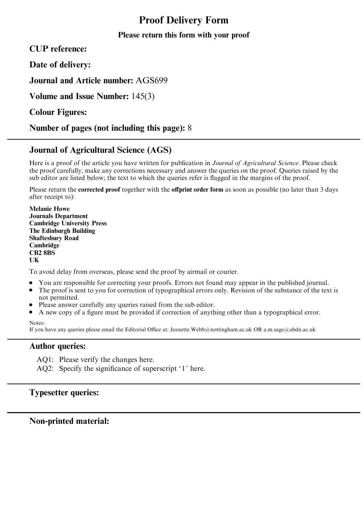# Proof Delivery Form

## Please return this form with your proof

CUP reference:

Date of delivery:

Journal and Article number: AGS699

Volume and Issue Number: 145(3)

Colour Figures:

Number of pages (not including this page): 8

# Journal of Agricultural Science (AGS)

Here is a proof of the article you have written for publication in Journal of Agricultural Science. Please check the proof carefully, make any corrections necessary and answer the queries on the proof. Queries raised by the sub editor are listed below; the text to which the queries refer is flagged in the margins of the proof.

Please return the **corrected proof** together with the **offprint order form** as soon as possible (no later than 3 days after receipt to):

Melanie Howe Journals Department Cambridge University Press The Edinburgh Building Shaftesbury Road Cambridge CB2 8BS UK

To avoid delay from overseas, please send the proof by airmail or courier.

- ' You are responsible for correcting your proofs. Errors not found may appear in the published journal.
- The proof is sent to you for correction of typographical errors only. Revision of the substance of the text is not permitted.
- Please answer carefully any queries raised from the sub editor.
- ' A new copy of a figure must be provided if correction of anything other than a typographical error.

Notes:

If you have any queries please email the Editorial Office at: Jeanette.Webb@nottingham.ac.uk OR a.m.sage@abdn.ac.uk

### Author queries:

AQ1: Please verify the changes here.

AQ2: Specify the significance of superscript '1' here.

# Typesetter queries:

Non-printed material: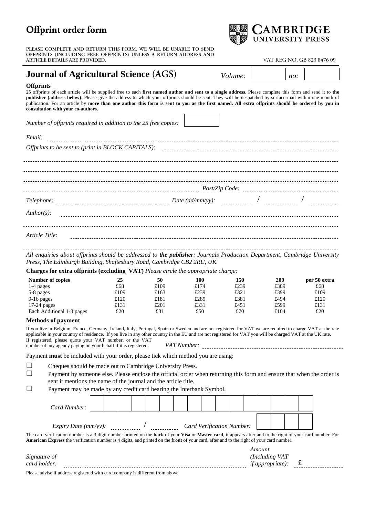**PLEASE COMPLETE AND RETURN THIS FORM. WE WILL BE UNABLE TO SEND OFFPRINTS (INCLUDING FREE OFFPRINTS) UNLESS A RETURN ADDRESS AND ARTICLE DETAILS ARE PROVIDED.** VAT REG NO. GB 823 8476 09

# **Journal of Agricultural Science** (AGS) *Volume:*  $\vert$  *no:*

### **Offprints**

25 offprints of each article will be supplied free to each **first named author and sent to a single address**. Please complete this form and send it to **the publisher (address below)**. Please give the address to which your offprints should be sent. They will be despatched by surface mail within one month of publication. For an article by **more than one author this form is sent to you as the first named. All extra offprints should be ordered by you in consultation with your co-authors.**

*Number of offprints required in addition to the 25 free copies:* 

| Email:         |  |  |  |  |  |  |  |
|----------------|--|--|--|--|--|--|--|
|                |  |  |  |  |  |  |  |
|                |  |  |  |  |  |  |  |
|                |  |  |  |  |  |  |  |
|                |  |  |  |  |  |  |  |
|                |  |  |  |  |  |  |  |
|                |  |  |  |  |  |  |  |
| $Author(s)$ :  |  |  |  |  |  |  |  |
|                |  |  |  |  |  |  |  |
| Article Title: |  |  |  |  |  |  |  |

*All enquiries about offprints should be addressed to the publisher: Journals Production Department, Cambridge University Press, The Edinburgh Building, Shaftesbury Road, Cambridge CB2 2RU, UK.* 

**Charges for extra offprints (excluding VAT)** *Please circle the appropriate charge:*

| Number of copies          | 25   | 50   | 100  | 150  | 200  | per 50 extra |
|---------------------------|------|------|------|------|------|--------------|
| 1-4 pages                 | £68  | £109 | £174 | £239 | £309 | £68          |
| 5-8 pages                 | £109 | £163 | £239 | £321 | £399 | £109         |
| $9-16$ pages              | £120 | £181 | £285 | £381 | £494 | £120         |
| $17-24$ pages             | £131 | £201 | £331 | £451 | £599 | £131         |
| Each Additional 1-8 pages | £20  | £31  | £50  | £70  | £104 | £20          |

### **Methods of payment**

If you live in Belgium, France, Germany, Ireland, Italy, Portugal, Spain or Sweden and are not registered for VAT we are required to charge VAT at the rate applicable in your country of residence. If you live in any other country in the EU and are not registered for VAT you will be charged VAT at the UK rate. If registered, please quote your VAT number, or the VAT n registered, pressure each your terms cannot be any of the contract of the *VAT Number: VAT Number*: *CONDUMBER: CONDUMBER: CONDUMBER: CONDUMBER: CONDUMBER: CONDUMBER: CONDUMBER: CONDUMBER* 

Payment **must** be included with your order, please tick which method you are using:

| $\Box$ |  |  |  | Cheques should be made out to Cambridge University Press. |
|--------|--|--|--|-----------------------------------------------------------|
|--------|--|--|--|-----------------------------------------------------------|

 $\square$  Payment by someone else. Please enclose the official order when returning this form and ensure that when the order is sent it mentions the name of the journal and the article title.

 $\Box$  Payment may be made by any credit card bearing the Interbank Symbol.

| Card Number:                                                                                                                                                                       |  |  |  |  |  |  |  |  |  |                                  |  |  |  |
|------------------------------------------------------------------------------------------------------------------------------------------------------------------------------------|--|--|--|--|--|--|--|--|--|----------------------------------|--|--|--|
| <i>Expiry Date (mm/yy):</i>                                                                                                                                                        |  |  |  |  |  |  |  |  |  | <b>Card Verification Number:</b> |  |  |  |
| The card verification number is a 3 digit number printed on the <b>back</b> of your <b>Visa</b> or <b>Master card</b> , it appears after and to the right of your card number. For |  |  |  |  |  |  |  |  |  |                                  |  |  |  |

**American Express** the verification number is 4 digits, and printed on the **front** of your card, after and to the right of your card number. *Amount* 

| $\sim$<br>Sign                         | $\sqrt{2}$ |  |
|----------------------------------------|------------|--|
| card                                   |            |  |
| $\sim$ $\sim$ $\sim$<br>--<br>.<br>. . |            |  |

Please advise if address registered with card company is different from above

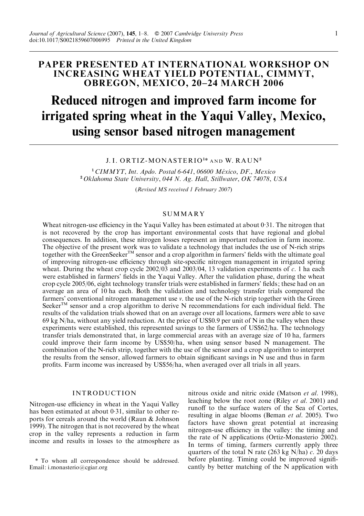## PAPER PRESENTED AT INTERNATIONAL WORKSHOP ON INCREASING WHEAT YIELD POTENTIAL, CIMMYT, OBREGON, MEXICO, 20–24 MARCH 2006

# Reduced nitrogen and improved farm income for irrigated spring wheat in the Yaqui Valley, Mexico, using sensor based nitrogen management

#### J. I. ORTIZ-MONASTERIO<sup>1\*</sup> and W. RAUN<sup>2</sup>

 $1$  CIMMYT, Int. Apdo. Postal 6-641, 06600 México, DF., Mexico <sup>2</sup> Oklahoma State University, 044 N. Ag. Hall, Stillwater, OK 74078, USA

(Revised MS received 1 February 2007)

#### **SUMMARY**

Wheat nitrogen-use efficiency in the Yaqui Valley has been estimated at about 0. 31. The nitrogen that is not recovered by the crop has important environmental costs that have regional and global consequences. In addition, these nitrogen losses represent an important reduction in farm income. The objective of the present work was to validate a technology that includes the use of N-rich strips together with the GreenSeeker<sup>TM</sup> sensor and a crop algorithm in farmers' fields with the ultimate goal of improving nitrogen-use efficiency through site-specific nitrogen management in irrigated spring wheat. During the wheat crop cycle  $2002/03$  and  $2003/04$ , 13 validation experiments of c. 1 ha each were established in farmers' fields in the Yaqui Valley. After the validation phase, during the wheat crop cycle 2005/06, eight technology transfer trials were established in farmers' fields; these had on an average an area of 10 ha each. Both the validation and technology transfer trials compared the farmers' conventional nitrogen management use v. the use of the N-rich strip together with the Green SeekerTM sensor and a crop algorithm to derive N recommendations for each individual field. The results of the validation trials showed that on an average over all locations, farmers were able to save 69 kg N/ha, without any yield reduction. At the price of US\$0.9 per unit of N in the valley when these experiments were established, this represented savings to the farmers of US\$62/ha. The technology transfer trials demonstrated that, in large commercial areas with an average size of 10 ha, farmers could improve their farm income by US\$50/ha, when using sensor based N management. The combination of the N-rich strip, together with the use of the sensor and a crop algorithm to interpret the results from the sensor, allowed farmers to obtain significant savings in N use and thus in farm profits. Farm income was increased by US\$56/ha, when averaged over all trials in all years.

### INTRODUCTION

Nitrogen-use efficiency in wheat in the Yaqui Valley has been estimated at about 0.31, similar to other reports for cereals around the world (Raun & Johnson 1999). The nitrogen that is not recovered by the wheat crop in the valley represents a reduction in farm income and results in losses to the atmosphere as nitrous oxide and nitric oxide (Matson et al. 1998), leaching below the root zone (Riley et al. 2001) and runoff to the surface waters of the Sea of Cortes, resulting in algae blooms (Beman et al. 2005). Two factors have shown great potential at increasing nitrogen-use efficiency in the valley: the timing and the rate of N applications (Ortiz-Monasterio 2002). In terms of timing, farmers currently apply three quarters of the total N rate (263 kg N/ha)  $c$ . 20 days before planting. Timing could be improved significantly by better matching of the N application with

<sup>\*</sup> To whom all correspondence should be addressed. Email: i.monasterio@cgiar.org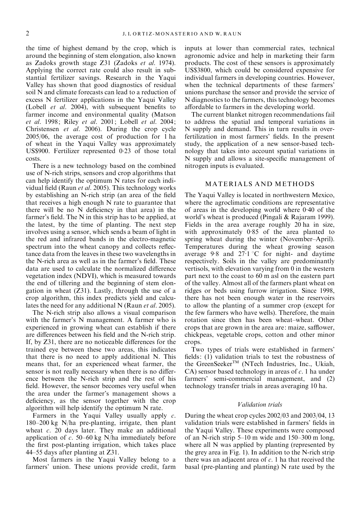the time of highest demand by the crop, which is around the beginning of stem elongation, also known as Zadoks growth stage Z31 (Zadoks et al. 1974). Applying the correct rate could also result in substantial fertilizer savings. Research in the Yaqui Valley has shown that good diagnostics of residual soil N and climate forecasts can lead to a reduction of excess N fertilizer applications in the Yaqui Valley (Lobell et al. 2004), with subsequent benefits to farmer income and environmental quality (Matson et al. 1998; Riley et al. 2001; Lobell et al. 2004; Christensen et al. 2006). During the crop cycle 2005/06, the average cost of production for 1 ha of wheat in the Yaqui Valley was approximately US\$900. Fertilizer represented 0. 23 of those total costs.

There is a new technology based on the combined use of N-rich strips, sensors and crop algorithms that can help identify the optimum N rates for each individual field (Raun et al. 2005). This technology works by establishing an N-rich strip (an area of the field that receives a high enough N rate to guarantee that there will be no N deficiency in that area) in the farmer's field. The N in this strip has to be applied, at the latest, by the time of planting. The next step involves using a sensor, which sends a beam of light in the red and infrared bands in the electro-magnetic spectrum into the wheat canopy and collects reflectance data from the leaves in these two wavelengths in the N-rich area as well as in the farmer's field. These data are used to calculate the normalized difference vegetation index (NDVI), which is measured towards the end of tillering and the beginning of stem elongation in wheat (Z31). Lastly, through the use of a crop algorithm, this index predicts yield and calculates the need for any additional N (Raun *et al.* 2005).

The N-rich strip also allows a visual comparison with the farmer's N management. A farmer who is experienced in growing wheat can establish if there are differences between his field and the N-rich strip. If, by Z31, there are no noticeable differences for the trained eye between these two areas, this indicates that there is no need to apply additional N. This means that, for an experienced wheat farmer, the sensor is not really necessary when there is no difference between the N-rich strip and the rest of his field. However, the sensor becomes very useful when the area under the farmer's management shows a deficiency, as the sensor together with the crop algorithm will help identify the optimum N rate.

Farmers in the Yaqui Valley usually apply c. 180–200 kg N/ha pre-planting, irrigate, then plant wheat  $c$ . 20 days later. They make an additional application of c. 50–60 kg N/ha immediately before the first post-planting irrigation, which takes place 44–55 days after planting at Z31.

Most farmers in the Yaqui Valley belong to a farmers' union. These unions provide credit, farm inputs at lower than commercial rates, technical agronomic advice and help in marketing their farm products. The cost of these sensors is approximately US\$3800, which could be considered expensive for individual farmers in developing countries. However, when the technical departments of these farmers' unions purchase the sensor and provide the service of N diagnostics to the farmers, this technology becomes affordable to farmers in the developing world.

The current blanket nitrogen recommendations fail to address the spatial and temporal variations in N supply and demand. This in turn results in overfertilization in most farmers' fields. In the present study, the application of a new sensor-based technology that takes into account spatial variations in N supply and allows a site-specific management of nitrogen inputs is evaluated.

#### MATERIALS AND METHODS

The Yaqui Valley is located in northwestern Mexico, where the agroclimatic conditions are representative of areas in the developing world where 0. 40 of the world's wheat is produced (Pingali & Rajaram 1999). Fields in the area average roughly 20 ha in size, with approximately 0.85 of the area planted to spring wheat during the winter (November–April). Temperatures during the wheat growing season average 9.8 and  $27.1 \text{ °C}$  for night- and daytime respectively. Soils in the valley are predominantly vertisols, with elevation varying from 0 in the western part next to the coast to 60 m asl on the eastern part of the valley. Almost all of the farmers plant wheat on ridges or beds using furrow irrigation. Since 1998, there has not been enough water in the reservoirs to allow the planting of a summer crop (except for the few farmers who have wells). Therefore, the main rotation since then has been wheat–wheat. Other crops that are grown in the area are: maize, safflower, chickpeas, vegetable crops, cotton and other minor crops.

Two types of trials were established in farmers' fields: (1) validation trials to test the robustness of the GreenSeeker<sup>™</sup> (NTech Industries, Inc., Ukiah, CA) sensor based technology in areas of  $c$ . 1 ha under farmers' semi-commercial management, and  $(2)$ technology transfer trials in areas averaging 10 ha.

#### Validation trials

During the wheat crop cycles 2002/03 and 2003/04, 13 validation trials were established in farmers' fields in the Yaqui Valley. These experiments were composed of an N-rich strip 5–10 m wide and 150–300 m long, where all N was applied by planting (represented by the grey area in Fig. 1). In addition to the N-rich strip there was an adjacent area of  $c$ . 1 ha that received the basal (pre-planting and planting) N rate used by the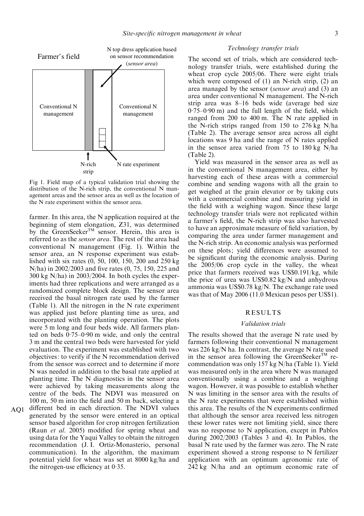

Fig 1. Field map of a typical validation trial showing the distribution of the N-rich strip, the conventional N management areas and the sensor area as well as the location of the N rate experiment within the sensor area.

farmer. In this area, the N application required at the beginning of stem elongation, Z31, was determined by the GreenSeeker<sup>TM</sup> sensor. Herein, this area is referred to as the sensor area. The rest of the area had conventional N management (Fig. 1). Within the sensor area, an N response experiment was established with six rates (0, 50, 100, 150, 200 and 250 kg N/ha) in 2002/2003 and five rates (0, 75, 150, 225 and 300 kg N/ha) in 2003/2004. In both cycles the experiments had three replications and were arranged as a randomized complete block design. The sensor area received the basal nitrogen rate used by the farmer (Table 1). All the nitrogen in the N rate experiment was applied just before planting time as urea, and incorporated with the planting operation. The plots were 5 m long and four beds wide. All farmers planted on beds 0. 75–0. 90 m wide, and only the central 3 m and the central two beds were harvested for yield evaluation. The experiment was established with two objectives: to verify if the N recommendation derived from the sensor was correct and to determine if more N was needed in addition to the basal rate applied at planting time. The N diagnostics in the sensor area were achieved by taking measurements along the centre of the beds. The NDVI was measured on 100 m, 50 m into the field and 50 m back, selecting a AQ1 different bed in each direction. The NDVI values generated by the sensor were entered in an optical sensor based algorithm for crop nitrogen fertilization (Raun et al. 2005) modified for spring wheat and using data for the Yaqui Valley to obtain the nitrogen recommendation (J. I. Ortiz-Monasterio, personal communication). In the algorithm, the maximum

potential yield for wheat was set at 8000 kg/ha and

the nitrogen-use efficiency at 0. 35.

#### Technology transfer trials

The second set of trials, which are considered technology transfer trials, were established during the wheat crop cycle 2005/06. There were eight trials which were composed of (1) an N-rich strip, (2) an area managed by the sensor (sensor area) and (3) an area under conventional N management. The N-rich strip area was 8–16 beds wide (average bed size  $0.75-0.90$  m) and the full length of the field, which ranged from 200 to 400 m. The N rate applied in the N-rich strips ranged from 150 to 276 kg N/ha (Table 2). The average sensor area across all eight locations was 9 ha and the range of N rates applied in the sensor area varied from 75 to 180 kg N/ha (Table 2).

Yield was measured in the sensor area as well as in the conventional N management area, either by harvesting each of these areas with a commercial combine and sending wagons with all the grain to get weighed at the grain elevator or by taking cuts with a commercial combine and measuring yield in the field with a weighing wagon. Since these large technology transfer trials were not replicated within a farmer's field, the N-rich strip was also harvested to have an approximate measure of field variation, by comparing the area under farmer management and the N-rich strip. An economic analysis was performed on these plots; yield differences were assumed to be significant during the economic analysis. During the 2005/06 crop cycle in the valley, the wheat price that farmers received was US\$0.191/kg, while the price of urea was US\$0.82 kg/N and anhydrous ammonia was US\$0.78 kg/N. The exchange rate used was that of May 2006 (11.0 Mexican pesos per US\$1).

#### RESULTS

#### Validation trials

The results showed that the average N rate used by farmers following their conventional N management was 226 kg/N ha. In contrast, the average N rate used in the sensor area following the GreenSeeker<sup>TM</sup> recommendation was only 157 kg N/ha (Table 1). Yield was measured only in the area where N was managed conventionally using a combine and a weighing wagon. However, it was possible to establish whether N was limiting in the sensor area with the results of the N rate experiments that were established within this area. The results of the N experiments confirmed that although the sensor area received less nitrogen these lower rates were not limiting yield, since there was no response to N application, except in Pablos during 2002/2003 (Tables 3 and 4). In Pablos, the basal N rate used by the farmer was zero. The N rate experiment showed a strong response to N fertilizer application with an optimum agronomic rate of 242 kg N/ha and an optimum economic rate of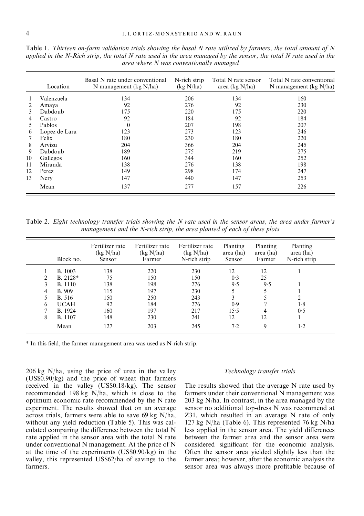|    | Location      | Basal N rate under conventional<br>N management ( $kg N/ha$ ) | N-rich strip<br>(kg N/ha) | Total N rate sensor<br>area (kg $N/ha$ ) | Total N rate conventional<br>N management ( $kg \ N/ha$ ) |
|----|---------------|---------------------------------------------------------------|---------------------------|------------------------------------------|-----------------------------------------------------------|
|    | Valenzuela    | 134                                                           | 206                       | 134                                      | 160                                                       |
|    | Amaya         | 92                                                            | 276                       | 92                                       | 230                                                       |
| 3  | Dabdoub       | 175                                                           | 220                       | 175                                      | 220                                                       |
| 4  | Castro        | 92                                                            | 184                       | 92                                       | 184                                                       |
| 5. | Pablos        | $\theta$                                                      | 207                       | 198                                      | 207                                                       |
| 6  | Lopez de Lara | 123                                                           | 273                       | 123                                      | 246                                                       |
|    | Felix         | 180                                                           | 230                       | 180                                      | 220                                                       |
| 8  | Arvizu        | 204                                                           | 366                       | 204                                      | 245                                                       |
| 9  | Dabdoub       | 189                                                           | 275                       | 219                                      | 275                                                       |
| 10 | Gallegos      | 160                                                           | 344                       | 160                                      | 252                                                       |
| 11 | Miranda       | 138                                                           | 276                       | 138                                      | 198                                                       |
| 12 | Perez         | 149                                                           | 298                       | 174                                      | 247                                                       |
| 13 | Nery          | 147                                                           | 440                       | 147                                      | 253                                                       |
|    | Mean          | 137                                                           | 277                       | 157                                      | 226                                                       |

Table 1. Thirteen on-farm validation trials showing the basal  $N$  rate utilized by farmers, the total amount of  $N$ applied in the N-Rich strip, the total N rate used in the area managed by the sensor, the total N rate used in the area where N was conventionally managed

Table 2. Eight technology transfer trials showing the N rate used in the sensor areas, the area under farmer's management and the N-rich strip, the area planted of each of these plots

|    | Block no.      | Fertilizer rate<br>(kg N/ha)<br>Sensor | Fertilizer rate<br>(kg N/ha)<br>Farmer | Fertilizer rate<br>(kg N/ha)<br>N-rich strip | Planting<br>area (ha)<br>Sensor | Planting<br>area (ha)<br>Farmer | Planting<br>area (ha)<br>N-rich strip |  |
|----|----------------|----------------------------------------|----------------------------------------|----------------------------------------------|---------------------------------|---------------------------------|---------------------------------------|--|
|    | <b>B.</b> 1003 | 138                                    | 220                                    | 230                                          | 12                              | 12                              |                                       |  |
| 2  | B. 2128*       | 75                                     | 150                                    | 150                                          | 0.3                             | 25                              |                                       |  |
| 3  | <b>B.</b> 1110 | 138                                    | 198                                    | 276                                          | 9.5                             | 9.5                             |                                       |  |
| 4  | <b>B.</b> 909  | 115                                    | 197                                    | 230                                          |                                 |                                 |                                       |  |
| 5. | B. 516         | 150                                    | 250                                    | 243                                          | 3                               |                                 |                                       |  |
| 6  | <b>UCAH</b>    | 92                                     | 184                                    | 276                                          | 0.9                             |                                 | 1.8                                   |  |
|    | B. 1924        | 160                                    | 197                                    | 217                                          | 15.5                            | 4                               | 0.5                                   |  |
| 8  | <b>B.</b> 1107 | 148                                    | 230                                    | 241                                          | 12                              | 12                              |                                       |  |
|    | Mean           | 127                                    | 203                                    | 245                                          | 7.2                             | 9                               | $1-2$                                 |  |

\* In this field, the farmer management area was used as N-rich strip.

206 kg N/ha, using the price of urea in the valley (US\$0.90/kg) and the price of wheat that farmers received in the valley (US\$0.18/kg). The sensor recommended 198 kg N/ha, which is close to the optimum economic rate recommended by the N rate experiment. The results showed that on an average across trials, farmers were able to save 69 kg N/ha, without any yield reduction (Table 5). This was calculated comparing the difference between the total N rate applied in the sensor area with the total N rate under conventional N management. At the price of N at the time of the experiments (US\$0.90/kg) in the valley, this represented US\$62/ha of savings to the farmers.

#### Technology transfer trials

The results showed that the average N rate used by farmers under their conventional  $\overline{N}$  management was 203 kg N/ha. In contrast, in the area managed by the sensor no additional top-dress N was recommend at Z31, which resulted in an average N rate of only 127 kg N/ha (Table 6). This represented 76 kg N/ha less applied in the sensor area. The yield differences between the farmer area and the sensor area were considered significant for the economic analysis. Often the sensor area yielded slightly less than the farmer area; however, after the economic analysis the sensor area was always more profitable because of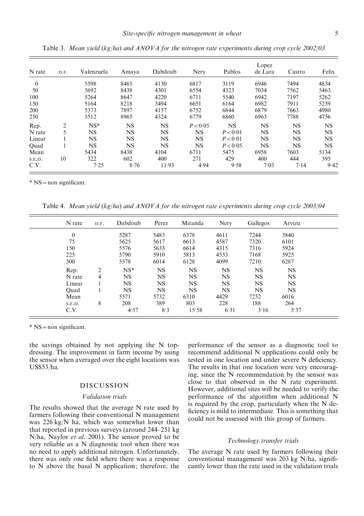| N rate       | D.F. | Valenzuela | Amaya     | Dabdoub   | Nery     | Pablos    | Lopez<br>de Lara | Castro    | Felix     |
|--------------|------|------------|-----------|-----------|----------|-----------|------------------|-----------|-----------|
| $\mathbf{0}$ |      | 5598       | 8465      | 4130      | 6817     | 3119      | 6946             | 7494      | 4834      |
| 50           |      | 5692       | 8438      | 4301      | 6554     | 4323      | 7034             | 7562      | 5463      |
| 100          |      | 5264       | 8647      | 4220      | 6711     | 5540      | 6942             | 7197      | 5262      |
| 150          |      | 5164       | 8218      | 3494      | 6651     | 6164      | 6982             | 7911      | 5239      |
| 200          |      | 5373       | 7897      | 4157      | 6752     | 6844      | 6879             | 7663      | 4980      |
| 250          |      | 5512       | 8965      | 4324      | 6779     | 6860      | 6963             | 7788      | 4756      |
| Rep.         | 2    | $NS*$      | NS        | <b>NS</b> | P < 0.05 | <b>NS</b> | <b>NS</b>        | <b>NS</b> | <b>NS</b> |
| N rate       | 5    | <b>NS</b>  | NS        | <b>NS</b> | NS       | P < 0.01  | <b>NS</b>        | <b>NS</b> | <b>NS</b> |
| Linear       |      | NS         | NS        | NS        | NS       | P < 0.01  | NS               | NS        | <b>NS</b> |
| Ouad         |      | NS         | <b>NS</b> | <b>NS</b> | NS       | P < 0.05  | NS               | <b>NS</b> | <b>NS</b> |
| Mean         |      | 5434       | 8438      | 4104      | 6711     | 5475      | 6958             | 7603      | 5134      |
| S.E.D.       | 10   | 322        | 602       | 400       | 271      | 429       | 400              | 444       | 395       |
| C.V.         |      | 7.25       | 8.76      | $11 - 93$ | 4.94     | 9.58      | 7.03             | 7.14      | 9.42      |

Table 3. Mean yield (kg/ha) and ANOVA for the nitrogen rate experiments during crop cycle 2002/03

\* NS=non significant.

Table 4. Mean yield (kg/ha) and ANOVA for the nitrogen rate experiments during crop cycle 2003/04

| N rate       | D.F. | Dabdoub   | Perez     | Miranda   | Nery      | Gallegos  | Arvizu    |
|--------------|------|-----------|-----------|-----------|-----------|-----------|-----------|
| $\mathbf{0}$ |      | 5287      | 5483      | 6378      | 4611      | 7244      | 5840      |
| 75           |      | 5625      | 5617      | 6613      | 4587      | 7320      | 6101      |
| 150          |      | 5576      | 5633      | 6614      | 4315      | 7316      | 5924      |
| 225          |      | 5790      | 5910      | 5813      | 4533      | 7168      | 5925      |
| 300          |      | 5578      | 6014      | 6128      | 4099      | 7210      | 6287      |
| Rep.         | 2    | $NS*$     | <b>NS</b> | <b>NS</b> | <b>NS</b> | <b>NS</b> | <b>NS</b> |
| N rate       | 4    | <b>NS</b> | <b>NS</b> | <b>NS</b> | <b>NS</b> | <b>NS</b> | <b>NS</b> |
| Linear       |      | <b>NS</b> | <b>NS</b> | <b>NS</b> | <b>NS</b> | <b>NS</b> | <b>NS</b> |
| Ouad         |      | NS        | <b>NS</b> | <b>NS</b> | <b>NS</b> | <b>NS</b> | <b>NS</b> |
| Mean         |      | 5571      | 5732      | 6310      | 4429      | 7252      | 6016      |
| S.E.D.       | 8    | 208       | 389       | 803       | 228       | 188       | 264       |
| C.V.         |      | 4.57      | 8.3       | 15.58     | 6.31      | 3.16      | 5.37      |

\* NS=non significant.

the savings obtained by not applying the N topdressing. The improvement in farm income by using the sensor when averaged over the eight locations was US\$53/ha.

#### DISCUSSION

#### Validation trials

The results showed that the average N rate used by farmers following their conventional N management was 226 kg/N ha, which was somewhat lower than that reported in previous surveys (around 244–251 kg N/ha, Naylor et al. 2001). The sensor proved to be very reliable as a N diagnostic tool when there was no need to apply additional nitrogen. Unfortunately, there was only one field where there was a response to N above the basal N application; therefore, the

performance of the sensor as a diagnostic tool to recommend additional N applications could only be tested in one location and under severe N deficiency. The results in that one location were very encouraging, since the N recommendation by the sensor was close to that observed in the N rate experiment. However, additional sites will be needed to verify the performance of the algorithm when additional N is required by the crop, particularly when the N deficiency is mild to intermediate. This is something that could not be assessed with this group of farmers.

#### Technology transfer trials

The average N rate used by farmers following their conventional management was 203 kg N/ha, significantly lower than the rate used in the validation trials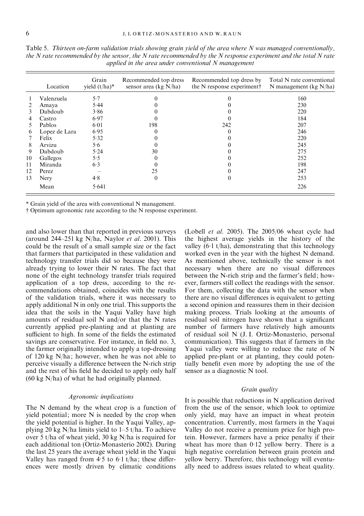|    | Location      | Grain<br>yield $(t/ha)^*$ | Recommended top dress<br>sensor area (kg $N/ha$ ) | Recommended top dress by<br>the N response experiment | Total N rate conventional<br>N management ( $kg N/ha$ ) |
|----|---------------|---------------------------|---------------------------------------------------|-------------------------------------------------------|---------------------------------------------------------|
|    | Valenzuela    | 5.7                       |                                                   | 0                                                     | 160                                                     |
|    | Amaya         | 5.44                      |                                                   |                                                       | 230                                                     |
| 3  | Dabdoub       | 3.86                      |                                                   |                                                       | 220                                                     |
| 4  | Castro        | 6.97                      |                                                   |                                                       | 184                                                     |
| 5. | Pablos        | 6.01                      | 198                                               | 242                                                   | 207                                                     |
| 6  | Lopez de Lara | 6.95                      |                                                   |                                                       | 246                                                     |
|    | Felix         | 5.32                      |                                                   |                                                       | 220                                                     |
| 8  | Arvizu        | 5.6                       |                                                   |                                                       | 245                                                     |
| 9  | Dabdoub       | 5.24                      | 30                                                |                                                       | 275                                                     |
| 10 | Gallegos      | 5.5                       |                                                   |                                                       | 252                                                     |
| 11 | Miranda       | 6.3                       |                                                   |                                                       | 198                                                     |
| 12 | Perez         |                           | 25                                                |                                                       | 247                                                     |
| 13 | Nery          | 4.8                       | $\theta$                                          | $^{(1)}$                                              | 253                                                     |
|    | Mean          | 5.641                     |                                                   |                                                       | 226                                                     |

Table 5. Thirteen on-farm validation trials showing grain yield of the area where N was managed conventionally, the N rate recommended by the sensor, the N rate recommended by the N response experiment and the total N rate applied in the area under conventional N management

\* Grain yield of the area with conventional N management.

# Optimum agronomic rate according to the N response experiment.

and also lower than that reported in previous surveys (around  $244-251$  kg N/ha, Naylor *et al.* 2001). This could be the result of a small sample size or the fact that farmers that participated in these validation and technology transfer trials did so because they were already trying to lower their N rates. The fact that none of the eight technology transfer trials required application of a top dress, according to the recommendations obtained, coincides with the results of the validation trials, where it was necessary to apply additional N in only one trial. This supports the idea that the soils in the Yaqui Valley have high amounts of residual soil N and/or that the N rates currently applied pre-planting and at planting are sufficient to high. In some of the fields the estimated savings are conservative. For instance, in field no. 3, the farmer originally intended to apply a top-dressing of 120 kg N/ha; however, when he was not able to perceive visually a difference between the N-rich strip and the rest of his field he decided to apply only half (60 kg N/ha) of what he had originally planned.

#### Agronomic implications

The N demand by the wheat crop is a function of yield potential; more N is needed by the crop when the yield potential is higher. In the Yaqui Valley, applying 20 kg N/ha limits yield to 1–5 t/ha. To achieve over 5 t/ha of wheat yield, 30 kg N/ha is required for each additional ton (Ortiz-Monasterio 2002). During the last 25 years the average wheat yield in the Yaqui Valley has ranged from  $4.5$  to  $6.1$  t/ha; these differences were mostly driven by climatic conditions (Lobell et al. 2005). The 2005/06 wheat cycle had the highest average yields in the history of the valley  $(6.1 \text{ t/ha})$ , demonstrating that this technology worked even in the year with the highest N demand. As mentioned above, technically the sensor is not necessary when there are no visual differences between the N-rich strip and the farmer's field; however, farmers still collect the readings with the sensor. For them, collecting the data with the sensor when there are no visual differences is equivalent to getting a second opinion and reassures them in their decision making process. Trials looking at the amounts of residual soil nitrogen have shown that a significant number of farmers have relatively high amounts of residual soil N (J. I. Ortiz-Monasterio, personal communication). This suggests that if farmers in the Yaqui valley were willing to reduce the rate of N applied pre-plant or at planting, they could potentially benefit even more by adopting the use of the sensor as a diagnostic N tool.

#### Grain quality

It is possible that reductions in N application derived from the use of the sensor, which look to optimize only yield, may have an impact in wheat protein concentration. Currently, most farmers in the Yaqui Valley do not receive a premium price for high protein. However, farmers have a price penalty if their wheat has more than 0.12 yellow berry. There is a high negative correlation between grain protein and yellow berry. Therefore, this technology will eventually need to address issues related to wheat quality.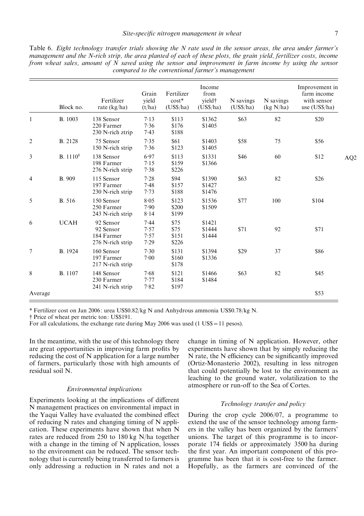|   |                      |                                              |                          |                                      | compared to the conventional farmer's management |                       |                        |                                                                 |                 |
|---|----------------------|----------------------------------------------|--------------------------|--------------------------------------|--------------------------------------------------|-----------------------|------------------------|-----------------------------------------------------------------|-----------------|
|   | Block no.            | Fertilizer<br>rate $(kg/ha)$                 | Grain<br>yield<br>(t/ha) | Fertilizer<br>$cost*$<br>$(US\$ /ha) | Income<br>from<br>yield†<br>(USS/ha)             | N savings<br>(USS/ha) | N savings<br>(kg N/ha) | Improvement in<br>farm income<br>with sensor<br>use $(US\$ /ha) |                 |
|   | <b>B.</b> 1003       | 138 Sensor<br>220 Farmer<br>230 N-rich ztrip | 7.13<br>7.36<br>$7-43$   | \$113<br>\$176<br>\$188              | \$1362<br>\$1405                                 | \$63                  | 82                     | \$20                                                            |                 |
| 2 | <b>B.</b> 2128       | 75 Sensor<br>150 N-rich strip                | 7.35<br>7.36             | \$61<br>\$123                        | \$1403<br>\$1405                                 | \$58                  | 75                     | \$56                                                            |                 |
| 3 | B. 1110 <sup>1</sup> | 138 Sensor<br>198 Farmer<br>276 N-rich strip | 6.97<br>7.15<br>7.38     | \$113<br>\$159<br>\$226              | \$1331<br>\$1366                                 | \$46                  | 60                     | \$12                                                            | AQ <sub>2</sub> |
| 4 | <b>B.</b> 909        | 115 Sensor<br>197 Farmer<br>230 N-rich strip | 7.28<br>7.48<br>7.73     | \$94<br>\$157<br>\$188               | \$1390<br>\$1427<br>\$1476                       | \$63                  | 82                     | \$26                                                            |                 |
| 5 | <b>B.</b> 516        | 150 Sensor                                   | 8.05                     | \$123                                | \$1536                                           | \$77                  | 100                    | \$104                                                           |                 |

57 \$75 \$1444 \$71 92 \$71

30 \$131 \$1394 \$29 37 \$86

68 \$121 \$1466 \$63 82 \$45

Table 6. Eight technology transfer trials showing the N rate used in the sensor areas, the area under farmer's management and the N-rich strip, the area planted of each of these plots, the grain yield, fertilizer costs, income from wheat sales, amount of N saved using the sensor and improvement in farm income by using the sensor

\$200 \$1509

\$75 \$1421<br>\$75 \$1444

\$151 \$1444

00 \$160 \$1336

\$184 \$1484

\$199

\$226

\$197 Average \$53

\* Fertilizer cost on Jan 2006: urea US\$0.82/kg N and Anhydrous ammonia US\$0.78/kg N.

# Price of wheat per metric ton: US\$191.

For all calculations, the exchange rate during May 2006 was used  $(1 \text{ US} \$ = 11 \text{ persons})$ .

217 N-rich strip \$178

250 Farmer 7.90<br>243 N-rich strip 8.14

92 Sensor 7.57<br>84 Farmer 7.57

 $276$  N-rich strip  $7.29$ 

197 Farmer 7.00

230 Farmer 7.77<br>241 N-rich strip 7.82

241 N-rich strip

243 N-rich strip

184 Farmer

6 UCAH 92 Sensor  $7.44$ <br>92 Sensor  $7.57$ 

7 B. 1924 160 Sensor 7.30

8 B. 1107 148 Sensor 7.68

In the meantime, with the use of this technology there are great opportunities in improving farm profits by reducing the cost of N application for a large number of farmers, particularly those with high amounts of residual soil N.

#### Environmental implications

Experiments looking at the implications of different N management practices on environmental impact in the Yaqui Valley have evaluated the combined effect of reducing N rates and changing timing of N application. These experiments have shown that when N rates are reduced from 250 to 180 kg N/ha together with a change in the timing of N application, losses to the environment can be reduced. The sensor technology that is currently being transferred to farmers is only addressing a reduction in N rates and not a change in timing of N application. However, other experiments have shown that by simply reducing the N rate, the N efficiency can be significantly improved (Ortiz-Monasterio 2002), resulting in less nitrogen that could potentially be lost to the environment as leaching to the ground water, volatilization to the atmosphere or run-off to the Sea of Cortes.

#### Technology transfer and policy

During the crop cycle 2006/07, a programme to extend the use of the sensor technology among farmers in the valley has been organized by the farmers' unions. The target of this programme is to incorporate 174 fields or approximately 3500 ha during the first year. An important component of this programme has been that it is cost-free to the farmer. Hopefully, as the farmers are convinced of the